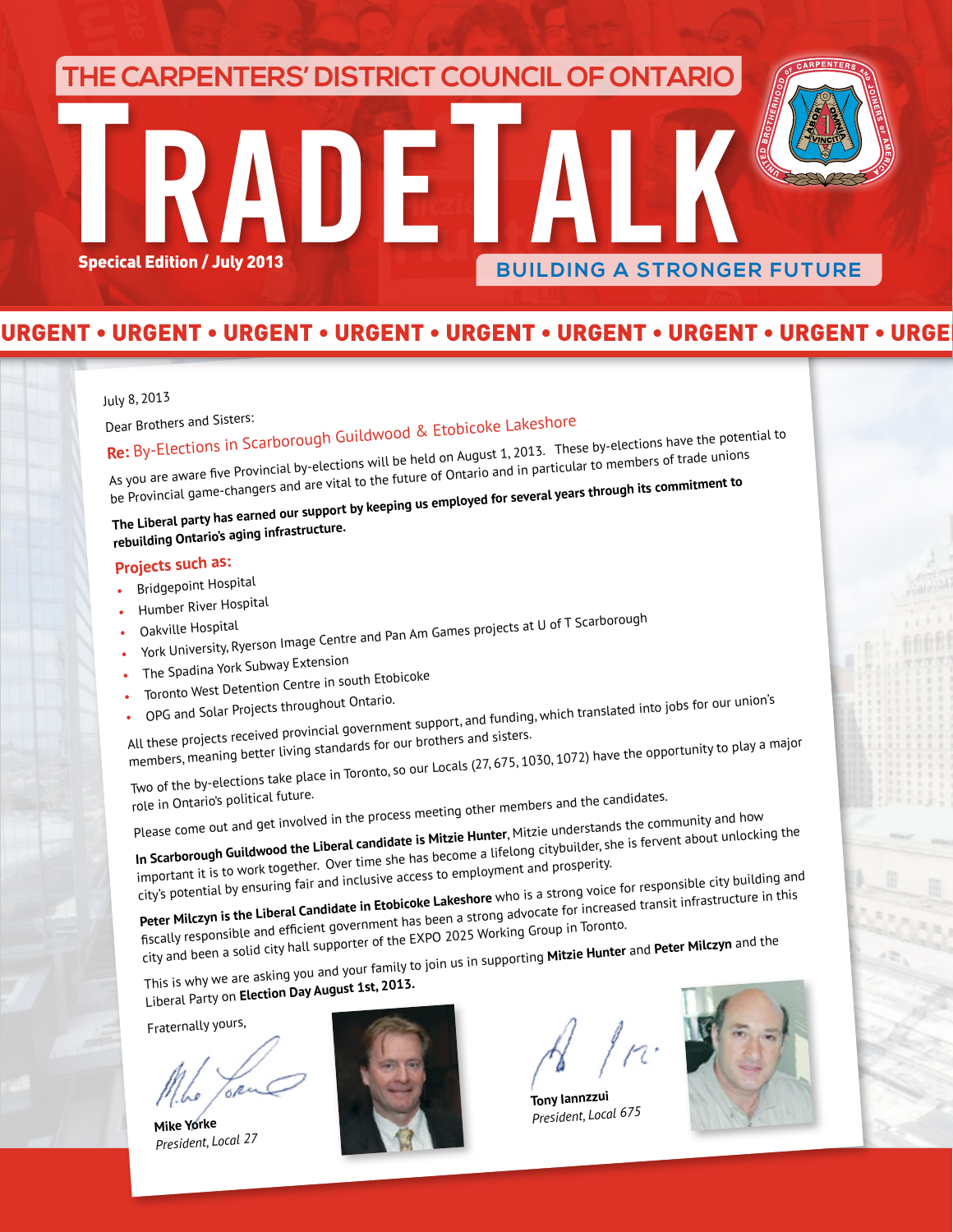# **TRADETALK**<br>Specical Edition / July 2013 **THE CARPENTERS' DISTRICT COUNCIL OF ONTARIO BUILDING A STRONGER FUTURE**

### URGENT • URGENT • URGENT • URGENT • URGENT • URGENT • URGENT • URGENT • URGENT • URGENT • URGENT • URGENT • URGENT • URGENT • URGENT

#### July 8, 2013

# Dear Brothers and Sisters: **Re:** By-Elections in Scarborough Guildwood & Etobicoke Lakeshore

As you are aware five Provincial by-elections will be held on August 1, 2013. These by-elections have the potential to be Provincial game-changers and are vital to the future of Ontario and in particular to members of trade unions

**The Liberal party has earned our support by keeping us employed for several years through its commitment to** 

## **rebuilding Ontario's aging infrastructure.**

### **Projects such as:**

- •Bridgepoint Hospital
- •Humber River Hospital
- •
- Oakville Hospital York University, Ryerson Image Centre and Pan Am Games projects at U of T Scarboroug<sup>h</sup>
- The Spadina York Subway Extension
- •Toronto West Detention Centre in south Etobicoke
- •
- opG and Solar Projects throughout Ontario.<br>• OPG and Solar Projects throughout Ontario.<br>All these projects received provincial government support, and funding, which translated into jobs for our union's members, meaning better living standards for our brothers and sisters.

Two of the by-elections take place in Toronto, so our Locals (27, 675, 1030, 1072) have the opportunity to play a major<br>role in Ontario's political future.

role in Ontario's political future.<br>Please come out and get involved in the process meeting other members and the candidates.<br>Please come out and get involved in the process meeting **Hunter**. Mitzie understands the con

**In Scarborough Guildwood the Liberal candidate is Mitzie Hunter**, Mitzie understands the community and how important it is to work together. Over time she has become a lifelong citybuilder, she is fervent about unlocking the city's potential by ensuring fair and inclusive access to employment and prosperity.

**Peter Milczyn is the Liberal Candidate in Etobicoke Lakeshore** who is a strong voice for responsible city building an<sup>d</sup> fiscally responsible and efficient government has been a strong advocate for increased transit infrastructure in this

city and been a solid city hall supporter of the EXPO 2025 Working Group in Toronto. This is why we are asking you and your family to join us in supporting **Mitzie Hunter** and **Peter Milczyn** and the

Liberal Party on **Election Day August 1st, 2013.**

Fraternally yours,

**Mike Yorke** *President, Local 27*



**Tony Iannzzu<sup>i</sup>** *President, Local 675*

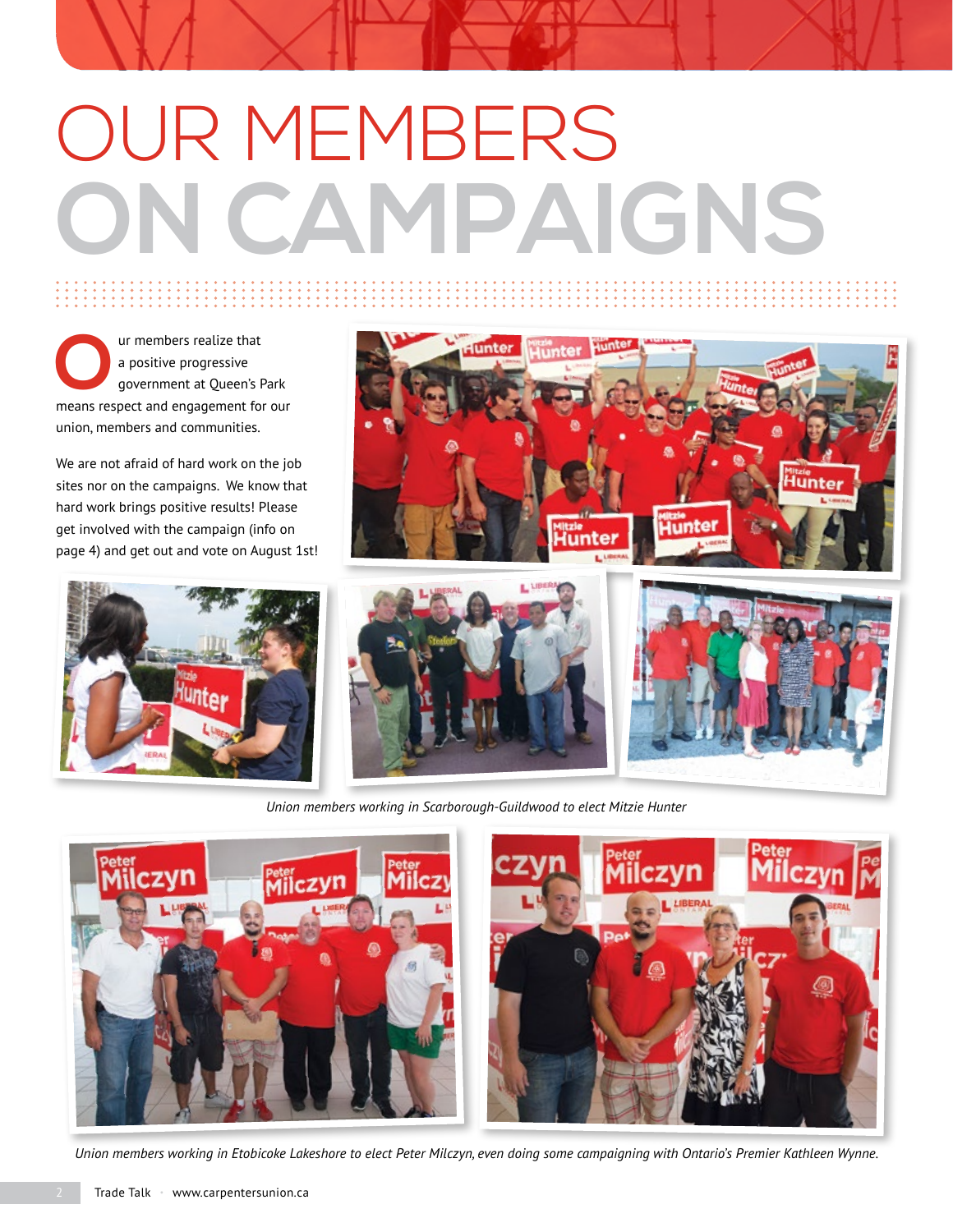# OUR MEMBERS **ON CAMPAIGNS**

**O**ur members realize that<br>a positive progressive<br>government at Queen's F a positive progressive government at Queen's Park means respect and engagement for our union, members and communities.

We are not afraid of hard work on the job sites nor on the campaigns. We know that hard work brings positive results! Please get involved with the campaign (info on page 4) and get out and vote on August 1st!







*Union members working in Scarborough-Guildwood to elect Mitzie Hunter*





*Union members working in Etobicoke Lakeshore to elect Peter Milczyn, even doing some campaigning with Ontario's Premier Kathleen Wynne.*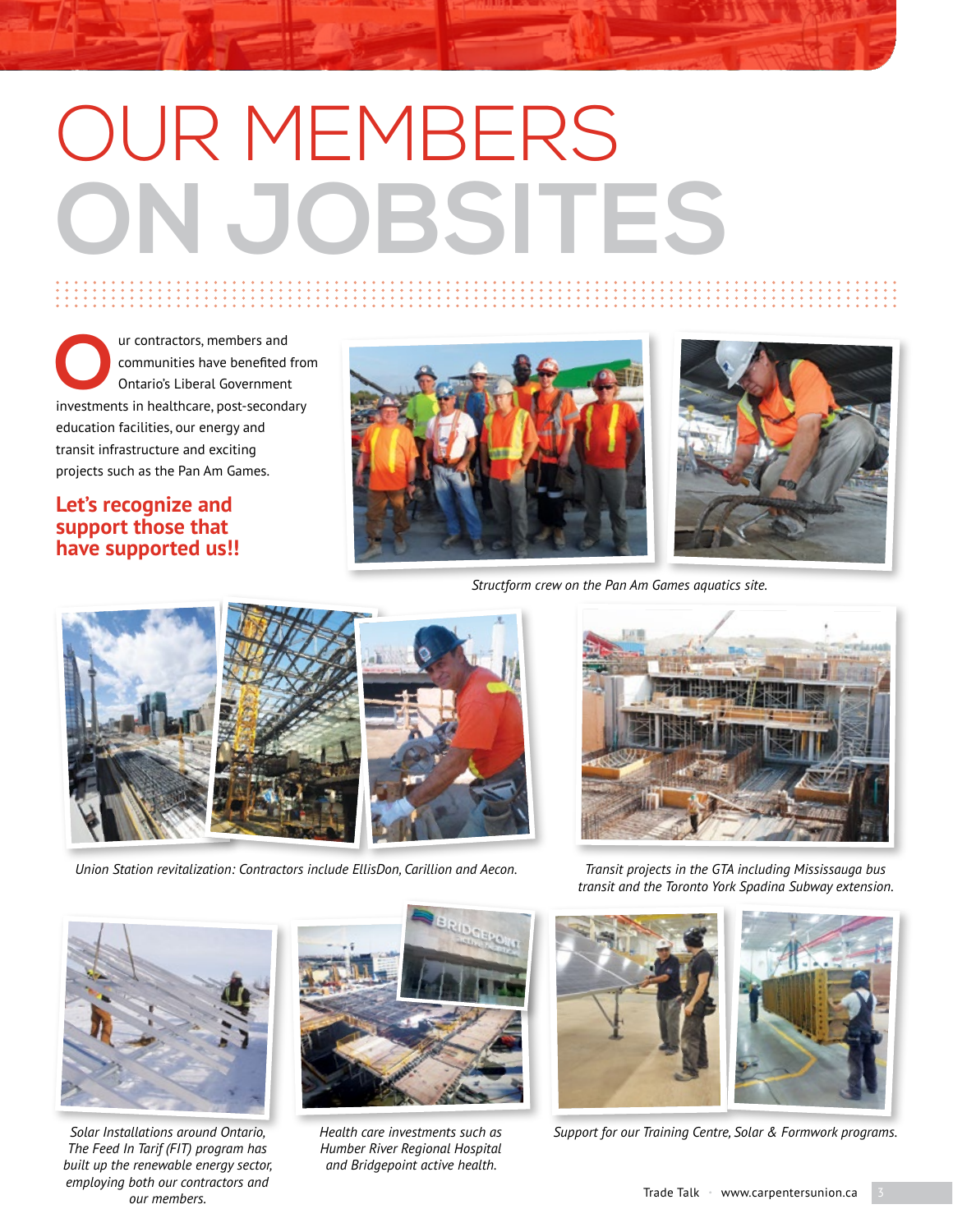# OUR MEMBERS **ON JOBSITES**

**OUR CONTREVENTER CONTREPAIR**<br>
Ontario's Liberal Government<br>
investments in healthcare post-second: communities have benefited from Ontario's Liberal Government investments in healthcare, post-secondary education facilities, our energy and transit infrastructure and exciting projects such as the Pan Am Games.

### **Let's recognize and support those that have supported us!!**





*Structform crew on the Pan Am Games aquatics site.*



*Union Station revitalization: Contractors include EllisDon, Carillion and Aecon. Transit projects in the GTA including Mississauga bus* 



*transit and the Toronto York Spadina Subway extension.*



*Solar Installations around Ontario, The Feed In Tarif (FIT) program has built up the renewable energy sector, employing both our contractors and our members.*



*Humber River Regional Hospital and Bridgepoint active health.*



*Health care investments such as Support for our Training Centre, Solar & Formwork programs.*